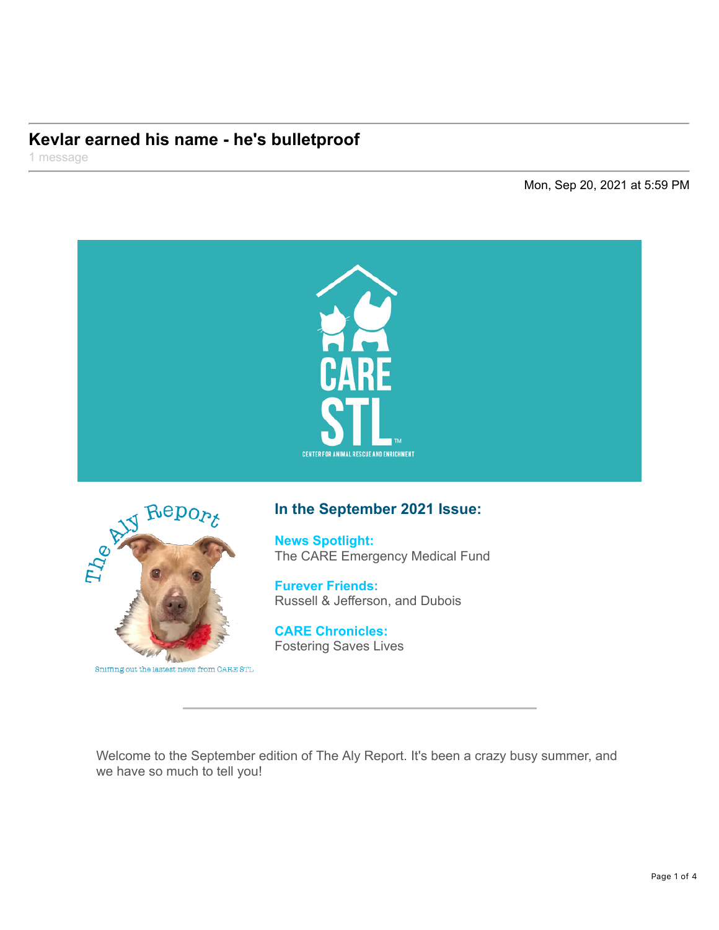# **Kevlar earned his name - he's bulletproof**

1 message

Mon, Sep 20, 2021 at 5:59 PM





**In the September 2021 Issue:**

**News Spotlight:** The CARE Emergency Medical Fund

**Furever Friends:** Russell & Jefferson, and Dubois

**CARE Chronicles:** Fostering Saves Lives

Welcome to the September edition of The Aly Report. It's been a crazy busy summer, and we have so much to tell you!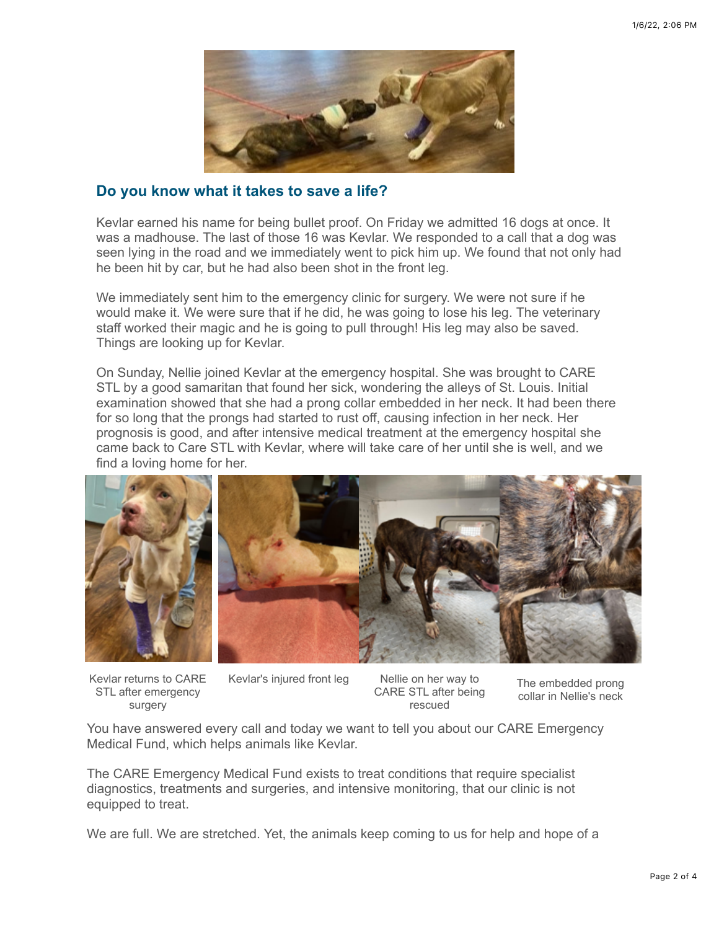

## **Do you know what it takes to save a life?**

Kevlar earned his name for being bullet proof. On Friday we admitted 16 dogs at once. It was a madhouse. The last of those 16 was Kevlar. We responded to a call that a dog was seen lying in the road and we immediately went to pick him up. We found that not only had he been hit by car, but he had also been shot in the front leg.

We immediately sent him to the emergency clinic for surgery. We were not sure if he would make it. We were sure that if he did, he was going to lose his leg. The veterinary staff worked their magic and he is going to pull through! His leg may also be saved. Things are looking up for Kevlar.

On Sunday, Nellie joined Kevlar at the emergency hospital. She was brought to CARE STL by a good samaritan that found her sick, wondering the alleys of St. Louis. Initial examination showed that she had a prong collar embedded in her neck. It had been there for so long that the prongs had started to rust off, causing infection in her neck. Her prognosis is good, and after intensive medical treatment at the emergency hospital she came back to Care STL with Kevlar, where will take care of her until she is well, and we find a loving home for her.



Kevlar returns to CARE STL after emergency surgery

Kevlar's injured front leg Nellie on her way to

CARE STL after being rescued

The embedded prong collar in Nellie's neck

You have answered every call and today we want to tell you about our CARE Emergency Medical Fund, which helps animals like Kevlar.

The CARE Emergency Medical Fund exists to treat conditions that require specialist diagnostics, treatments and surgeries, and intensive monitoring, that our clinic is not equipped to treat.

We are full. We are stretched. Yet, the animals keep coming to us for help and hope of a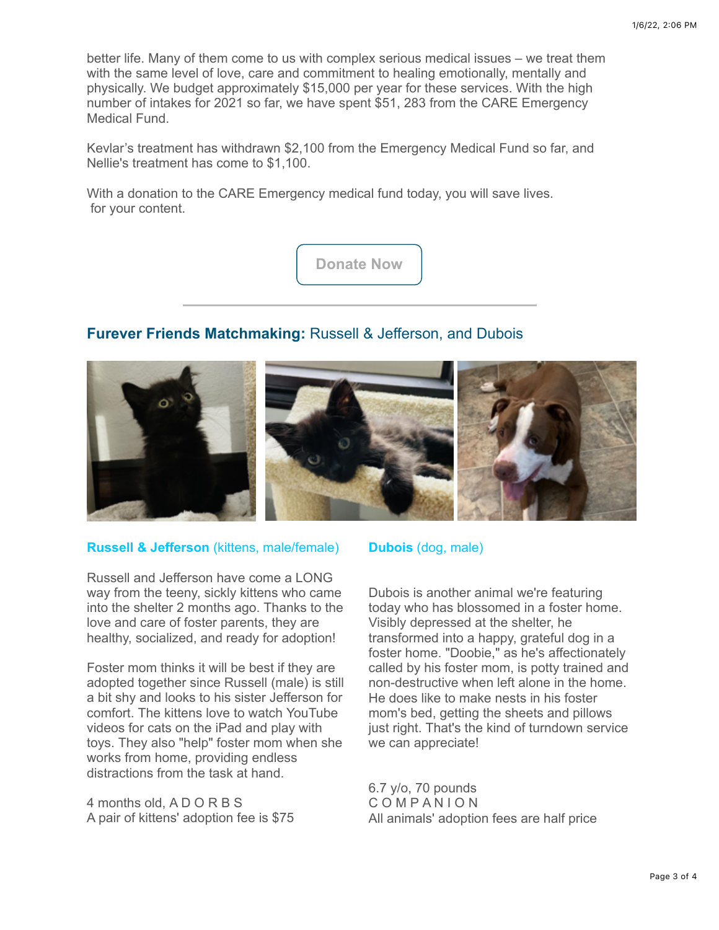better life. Many of them come to us with complex serious medical issues – we treat them with the same level of love, care and commitment to healing emotionally, mentally and physically. We budget approximately \$15,000 per year for these services. With the high number of intakes for 2021 so far, we have spent \$51, 283 from the CARE Emergency Medical Fund.

Kevlar's treatment has withdrawn \$2,100 from the Emergency Medical Fund so far, and Nellie's treatment has come to \$1,100.

With a donation to the CARE Emergency medical fund today, you will save lives. for your content.

**[Donate Now](https://u23028183.ct.sendgrid.net/ls/click?upn=a7M9tupuA3V3TSmgAnAg6dmjO9xDARkvjOcssq66Q9tvp6xH00QoA2W996Y4INC3sNDvSE7NNpN6w6fNzkTemQ-3D-3D0Uhe_DDU7xl9rzvyPQyt3hm-2Fav-2Bg1qGJL6lH4VhEQXPt4Q1udS9ihtFGlgIOCN4hKbDYHKfLwV6YgLnYGPAco2gTPW12FFR534R0rgUHEjCbGeBGfeLOcbTEMspUfRJtV7urXJylxR9Hvf9H1YrwUoHkDFgAws4KQuc2cmIJ0ogJL5-2FOWBdkvBWKgp7L2-2FOAioDh0Cxq3Y2iD1pxWHFQGAg-2BiTFoN0a42QrJ0hPOwuyZtO2xouuALvbJIdRx7n5uq-2FtShVJSy751H1Z-2BjEnjQ82NPp4SrZPlojXjS01xQL6tQKcdBFC-2F0CruBilpYNsGEhvsXWLAYVrqYmgDqUIBZRuPu6s0IGd1Ipgxt1A7pnAy3PQO0QneEaeJhzPMtFFwbnTG7)**

## **Furever Friends Matchmaking:** Russell & Jefferson, and Dubois



## **Russell & Jefferson** (kittens, male/female)

Russell and Jefferson have come a LONG way from the teeny, sickly kittens who came into the shelter 2 months ago. Thanks to the love and care of foster parents, they are healthy, socialized, and ready for adoption!

Foster mom thinks it will be best if they are adopted together since Russell (male) is still a bit shy and looks to his sister Jefferson for comfort. The kittens love to watch YouTube videos for cats on the iPad and play with toys. They also "help" foster mom when she works from home, providing endless distractions from the task at hand.

4 months old, A D O R B S A pair of kittens' adoption fee is \$75

## **Dubois** (dog, male)

Dubois is another animal we're featuring today who has blossomed in a foster home. Visibly depressed at the shelter, he transformed into a happy, grateful dog in a foster home. "Doobie," as he's affectionately called by his foster mom, is potty trained and non-destructive when left alone in the home. He does like to make nests in his foster mom's bed, getting the sheets and pillows just right. That's the kind of turndown service we can appreciate!

6.7 y/o, 70 pounds C O M P A N I O N All animals' adoption fees are half price